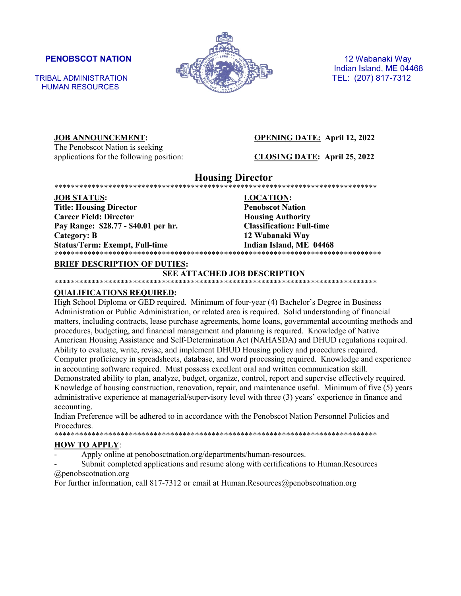HUMAN RESOURCES



Indian Island, ME 04468

**JOB ANNOUNCEMENT: OPENING DATE: April 12, 2022**

The Penobscot Nation is seeking applications for the following position: **CLOSING DATE: April 25, 2022**

**Housing Director** \*\*\*\*\*\*\*\*\*\*\*\*\*\*\*\*\*\*\*\*\*\*\*\*\*\*\*\*\*\*\*\*\*\*\*\*\*\*\*\*\*\*\*\*\*\*\*\*\*\*\*\*\*\*\*\*\*\*\*\*\*\*\*\*\*\*\*\*\*\*\*\*\*\*\*\*\*\*

**JOB STATUS: LOCATION: Title: Housing Director Penobscot Nation Career Field: Director Housing Authority Pay Range: \$28.77 - \$40.01 per hr. Classification: Full-time Category: B 12 Wabanaki Way** Status/Term: Exempt, Full-time Indian Island, ME 04468 **\***\*\*\*\*\*\*\*\*\*\*\*\*\*\*\*\*\*\*\*\*\*\*\*\*\*\*\*\*\*\*\*\*\*\*\*\*\*\*\*\*\*\*\*\*\*\*\*\*\*\*\*\*\*\*\*\*\*\*\*\*\*\*\*\*\*\*\*\*\*\*\*\*\*\*\*\*\*\*

### **BRIEF DESCRIPTION OF DUTIES:**

### **SEE ATTACHED JOB DESCRIPTION**

\*\*\*\*\*\*\*\*\*\*\*\*\*\*\*\*\*\*\*\*\*\*\*\*\*\*\*\*\*\*\*\*\*\*\*\*\*\*\*\*\*\*\*\*\*\*\*\*\*\*\*\*\*\*\*\*\*\*\*\*\*\*\*\*\*\*\*\*\*\*\*\*\*\*\*\*\*\*

### **QUALIFICATIONS REQUIRED:**

High School Diploma or GED required. Minimum of four-year (4) Bachelor's Degree in Business Administration or Public Administration, or related area is required. Solid understanding of financial matters, including contracts, lease purchase agreements, home loans, governmental accounting methods and procedures, budgeting, and financial management and planning is required. Knowledge of Native American Housing Assistance and Self-Determination Act (NAHASDA) and DHUD regulations required. Ability to evaluate, write, revise, and implement DHUD Housing policy and procedures required. Computer proficiency in spreadsheets, database, and word processing required. Knowledge and experience in accounting software required. Must possess excellent oral and written communication skill. Demonstrated ability to plan, analyze, budget, organize, control, report and supervise effectively required. Knowledge of housing construction, renovation, repair, and maintenance useful. Minimum of five (5) years administrative experience at managerial/supervisory level with three (3) years' experience in finance and accounting.

Indian Preference will be adhered to in accordance with the Penobscot Nation Personnel Policies and Procedures.<br>\*\*\*\*\*\*\*\*\*\*\*\*\*\*\*\*\*\*\*

\*\*\*\*\*\*\*\*\*\*\*\*\*\*\*\*\*\*\*\*\*\*\*\*\*\*\*\*\*\*\*\*\*\*\*\*\*\*\*\*\*\*\*\*\*\*\*\*\*\*\*\*\*\*\*\*\*\*\*\*\*\*\*\*\*\*\*\*\*\*\*\*\*\*\*\*\*\*

### **HOW TO APPLY**:

Apply online at penobosctnation.org/departments/human-resources.

Submit completed applications and resume along with certifications to Human.Resources @penobscotnation.org

For further information, call 817-7312 or email at Human.Resources@penobscotnation.org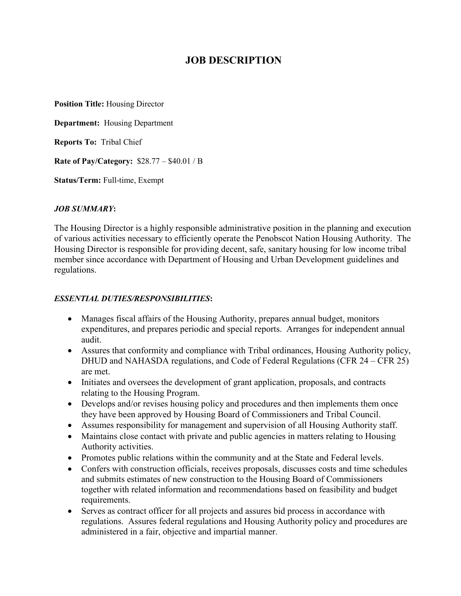# **JOB DESCRIPTION**

**Position Title:** Housing Director

**Department:** Housing Department

**Reports To:** Tribal Chief

**Rate of Pay/Category:** \$28.77 – \$40.01 / B

**Status/Term:** Full-time, Exempt

# *JOB SUMMARY***:**

The Housing Director is a highly responsible administrative position in the planning and execution of various activities necessary to efficiently operate the Penobscot Nation Housing Authority. The Housing Director is responsible for providing decent, safe, sanitary housing for low income tribal member since accordance with Department of Housing and Urban Development guidelines and regulations.

# *ESSENTIAL DUTIES/RESPONSIBILITIES***:**

- Manages fiscal affairs of the Housing Authority, prepares annual budget, monitors expenditures, and prepares periodic and special reports. Arranges for independent annual audit.
- Assures that conformity and compliance with Tribal ordinances, Housing Authority policy, DHUD and NAHASDA regulations, and Code of Federal Regulations (CFR 24 – CFR 25) are met.
- Initiates and oversees the development of grant application, proposals, and contracts relating to the Housing Program.
- Develops and/or revises housing policy and procedures and then implements them once they have been approved by Housing Board of Commissioners and Tribal Council.
- Assumes responsibility for management and supervision of all Housing Authority staff.
- Maintains close contact with private and public agencies in matters relating to Housing Authority activities.
- Promotes public relations within the community and at the State and Federal levels.
- Confers with construction officials, receives proposals, discusses costs and time schedules and submits estimates of new construction to the Housing Board of Commissioners together with related information and recommendations based on feasibility and budget requirements.
- Serves as contract officer for all projects and assures bid process in accordance with regulations. Assures federal regulations and Housing Authority policy and procedures are administered in a fair, objective and impartial manner.